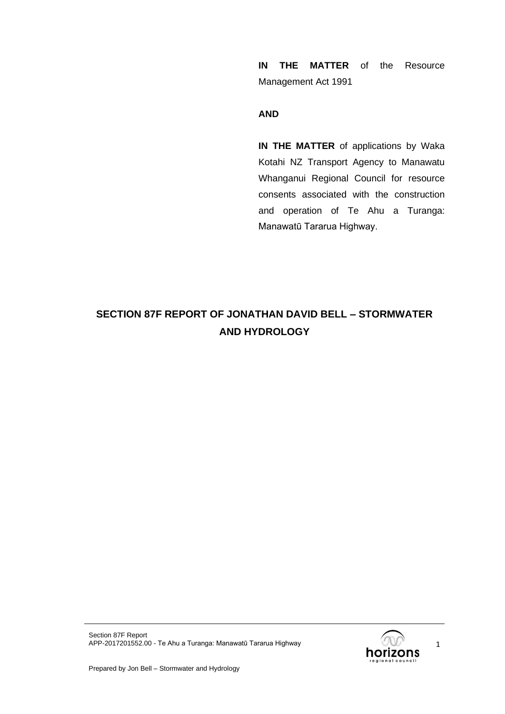**IN THE MATTER** of the Resource Management Act 1991

#### **AND**

**IN THE MATTER** of applications by Waka Kotahi NZ Transport Agency to Manawatu Whanganui Regional Council for resource consents associated with the construction and operation of Te Ahu a Turanga: Manawatū Tararua Highway.

# **SECTION 87F REPORT OF JONATHAN DAVID BELL – STORMWATER AND HYDROLOGY**



1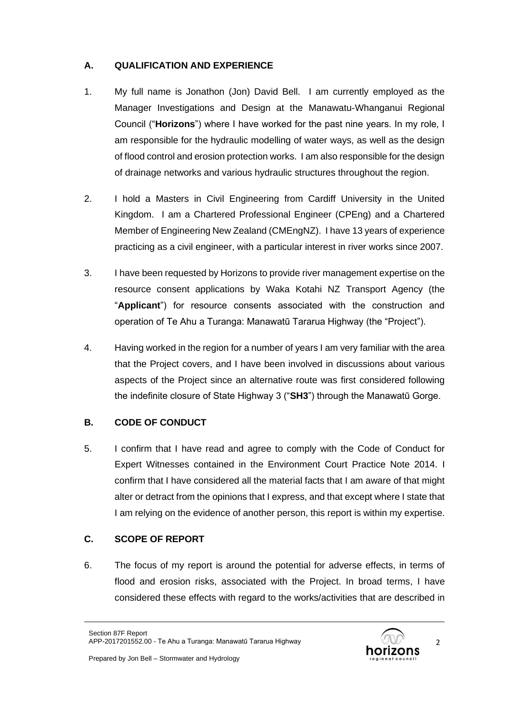# **A. QUALIFICATION AND EXPERIENCE**

- 1. My full name is Jonathon (Jon) David Bell. I am currently employed as the Manager Investigations and Design at the Manawatu-Whanganui Regional Council ("**Horizons**") where I have worked for the past nine years. In my role, I am responsible for the hydraulic modelling of water ways, as well as the design of flood control and erosion protection works. I am also responsible for the design of drainage networks and various hydraulic structures throughout the region.
- 2. I hold a Masters in Civil Engineering from Cardiff University in the United Kingdom. I am a Chartered Professional Engineer (CPEng) and a Chartered Member of Engineering New Zealand (CMEngNZ). I have 13 years of experience practicing as a civil engineer, with a particular interest in river works since 2007.
- 3. I have been requested by Horizons to provide river management expertise on the resource consent applications by Waka Kotahi NZ Transport Agency (the "**Applicant**") for resource consents associated with the construction and operation of Te Ahu a Turanga: Manawatū Tararua Highway (the "Project").
- 4. Having worked in the region for a number of years I am very familiar with the area that the Project covers, and I have been involved in discussions about various aspects of the Project since an alternative route was first considered following the indefinite closure of State Highway 3 ("**SH3**") through the Manawatū Gorge.

# **B. CODE OF CONDUCT**

5. I confirm that I have read and agree to comply with the Code of Conduct for Expert Witnesses contained in the Environment Court Practice Note 2014. I confirm that I have considered all the material facts that I am aware of that might alter or detract from the opinions that I express, and that except where I state that I am relying on the evidence of another person, this report is within my expertise.

# **C. SCOPE OF REPORT**

6. The focus of my report is around the potential for adverse effects, in terms of flood and erosion risks, associated with the Project. In broad terms, I have considered these effects with regard to the works/activities that are described in

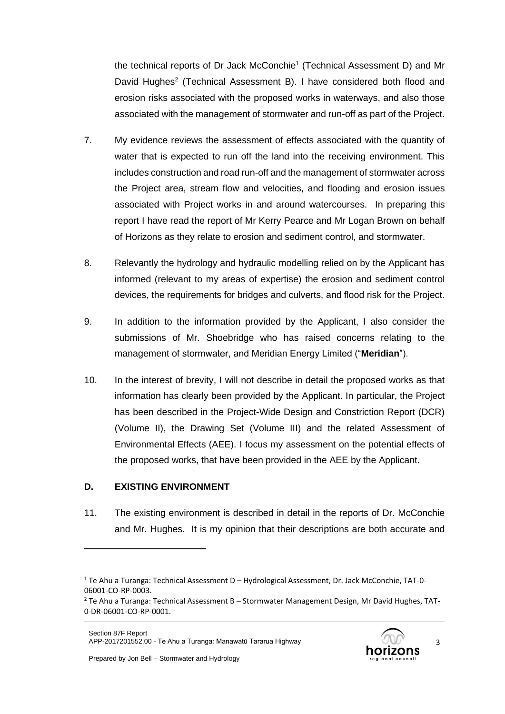the technical reports of Dr Jack McConchie<sup>1</sup> (Technical Assessment D) and Mr David Hughes<sup>2</sup> (Technical Assessment B). I have considered both flood and erosion risks associated with the proposed works in waterways, and also those associated with the management of stormwater and run-off as part of the Project.

- 7. My evidence reviews the assessment of effects associated with the quantity of water that is expected to run off the land into the receiving environment. This includes construction and road run-off and the management of stormwater across the Project area, stream flow and velocities, and flooding and erosion issues associated with Project works in and around watercourses. In preparing this report I have read the report of Mr Kerry Pearce and Mr Logan Brown on behalf of Horizons as they relate to erosion and sediment control, and stormwater.
- 8. Relevantly the hydrology and hydraulic modelling relied on by the Applicant has informed (relevant to my areas of expertise) the erosion and sediment control devices, the requirements for bridges and culverts, and flood risk for the Project.
- 9. In addition to the information provided by the Applicant, I also consider the submissions of Mr. Shoebridge who has raised concerns relating to the management of stormwater, and Meridian Energy Limited ("**Meridian**").
- 10. In the interest of brevity, I will not describe in detail the proposed works as that information has clearly been provided by the Applicant. In particular, the Project has been described in the Project-Wide Design and Constriction Report (DCR) (Volume II), the Drawing Set (Volume III) and the related Assessment of Environmental Effects (AEE). I focus my assessment on the potential effects of the proposed works, that have been provided in the AEE by the Applicant.

# **D. EXISTING ENVIRONMENT**

11. The existing environment is described in detail in the reports of Dr. McConchie and Mr. Hughes. It is my opinion that their descriptions are both accurate and



 $1$  Te Ahu a Turanga: Technical Assessment D – Hydrological Assessment, Dr. Jack McConchie, TAT-0-06001-CO-RP-0003.

 $2$  Te Ahu a Turanga: Technical Assessment B – Stormwater Management Design, Mr David Hughes, TAT-0-DR-06001-CO-RP-0001.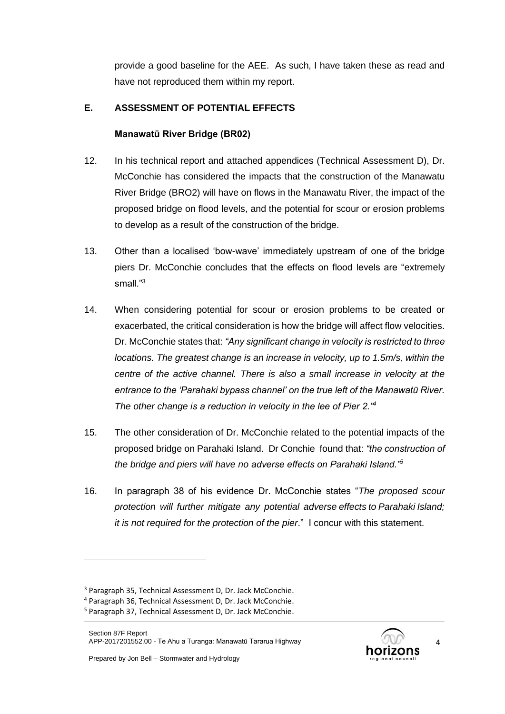provide a good baseline for the AEE. As such, I have taken these as read and have not reproduced them within my report.

## **E. ASSESSMENT OF POTENTIAL EFFECTS**

## **Manawatū River Bridge (BR02)**

- 12. In his technical report and attached appendices (Technical Assessment D), Dr. McConchie has considered the impacts that the construction of the Manawatu River Bridge (BRO2) will have on flows in the Manawatu River, the impact of the proposed bridge on flood levels, and the potential for scour or erosion problems to develop as a result of the construction of the bridge.
- 13. Other than a localised 'bow-wave' immediately upstream of one of the bridge piers Dr. McConchie concludes that the effects on flood levels are "extremely small."<sup>3</sup>
- 14. When considering potential for scour or erosion problems to be created or exacerbated, the critical consideration is how the bridge will affect flow velocities. Dr. McConchie states that: *"Any significant change in velocity is restricted to three locations. The greatest change is an increase in velocity, up to 1.5m/s, within the centre of the active channel. There is also a small increase in velocity at the entrance to the 'Parahaki bypass channel' on the true left of the Manawatū River. The other change is a reduction in velocity in the lee of Pier 2."<sup>4</sup>*
- 15. The other consideration of Dr. McConchie related to the potential impacts of the proposed bridge on Parahaki Island. Dr Conchie found that: *"the construction of the bridge and piers will have no adverse effects on Parahaki Island."<sup>5</sup>*
- 16. In paragraph 38 of his evidence Dr. McConchie states "*The proposed scour protection will further mitigate any potential adverse effects to Parahaki Island; it is not required for the protection of the pier*." I concur with this statement.



<sup>3</sup> Paragraph 35, Technical Assessment D, Dr. Jack McConchie.

<sup>4</sup> Paragraph 36, Technical Assessment D, Dr. Jack McConchie.

<sup>5</sup> Paragraph 37, Technical Assessment D, Dr. Jack McConchie.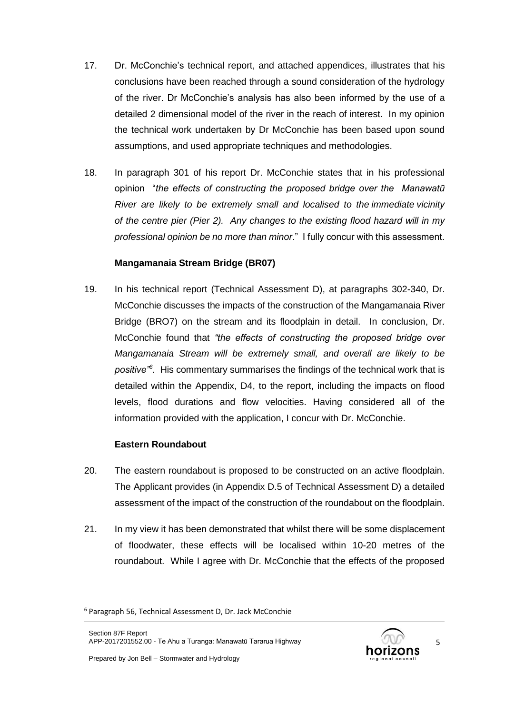- 17. Dr. McConchie's technical report, and attached appendices, illustrates that his conclusions have been reached through a sound consideration of the hydrology of the river. Dr McConchie's analysis has also been informed by the use of a detailed 2 dimensional model of the river in the reach of interest. In my opinion the technical work undertaken by Dr McConchie has been based upon sound assumptions, and used appropriate techniques and methodologies.
- 18. In paragraph 301 of his report Dr. McConchie states that in his professional opinion "*the effects of constructing the proposed bridge over the Manawatū River are likely to be extremely small and localised to the immediate vicinity of the centre pier (Pier 2). Any changes to the existing flood hazard will in my professional opinion be no more than minor*." I fully concur with this assessment.

## **Mangamanaia Stream Bridge (BR07)**

19. In his technical report (Technical Assessment D), at paragraphs 302-340, Dr. McConchie discusses the impacts of the construction of the Mangamanaia River Bridge (BRO7) on the stream and its floodplain in detail. In conclusion, Dr. McConchie found that *"the effects of constructing the proposed bridge over Mangamanaia Stream will be extremely small, and overall are likely to be positive"<sup>6</sup> .* His commentary summarises the findings of the technical work that is detailed within the Appendix, D4, to the report, including the impacts on flood levels, flood durations and flow velocities. Having considered all of the information provided with the application, I concur with Dr. McConchie.

## **Eastern Roundabout**

- 20. The eastern roundabout is proposed to be constructed on an active floodplain. The Applicant provides (in Appendix D.5 of Technical Assessment D) a detailed assessment of the impact of the construction of the roundabout on the floodplain.
- 21. In my view it has been demonstrated that whilst there will be some displacement of floodwater, these effects will be localised within 10-20 metres of the roundabout. While I agree with Dr. McConchie that the effects of the proposed



<sup>6</sup> Paragraph 56, Technical Assessment D, Dr. Jack McConchie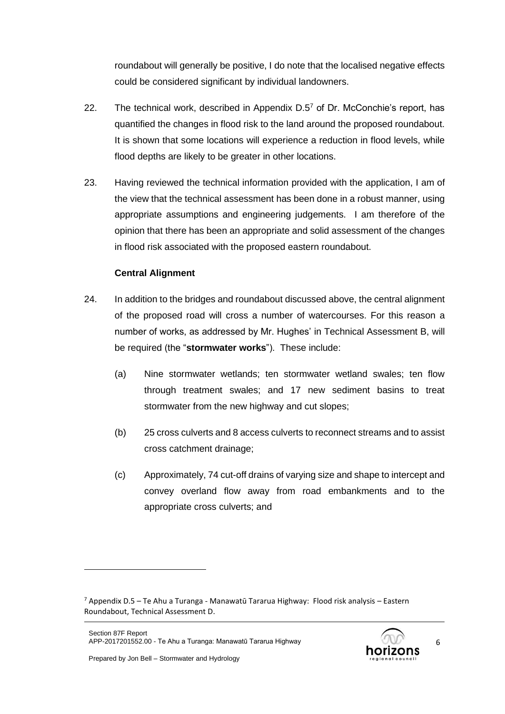roundabout will generally be positive, I do note that the localised negative effects could be considered significant by individual landowners.

- 22. The technical work, described in Appendix  $D.5<sup>7</sup>$  of Dr. McConchie's report, has quantified the changes in flood risk to the land around the proposed roundabout. It is shown that some locations will experience a reduction in flood levels, while flood depths are likely to be greater in other locations.
- 23. Having reviewed the technical information provided with the application, I am of the view that the technical assessment has been done in a robust manner, using appropriate assumptions and engineering judgements. I am therefore of the opinion that there has been an appropriate and solid assessment of the changes in flood risk associated with the proposed eastern roundabout.

## **Central Alignment**

- 24. In addition to the bridges and roundabout discussed above, the central alignment of the proposed road will cross a number of watercourses. For this reason a number of works, as addressed by Mr. Hughes' in Technical Assessment B, will be required (the "**stormwater works**"). These include:
	- (a) Nine stormwater wetlands; ten stormwater wetland swales; ten flow through treatment swales; and 17 new sediment basins to treat stormwater from the new highway and cut slopes;
	- (b) 25 cross culverts and 8 access culverts to reconnect streams and to assist cross catchment drainage;
	- (c) Approximately, 74 cut-off drains of varying size and shape to intercept and convey overland flow away from road embankments and to the appropriate cross culverts; and

 $7$  Appendix D.5 – Te Ahu a Turanga - Manawatū Tararua Highway: Flood risk analysis – Eastern Roundabout, Technical Assessment D.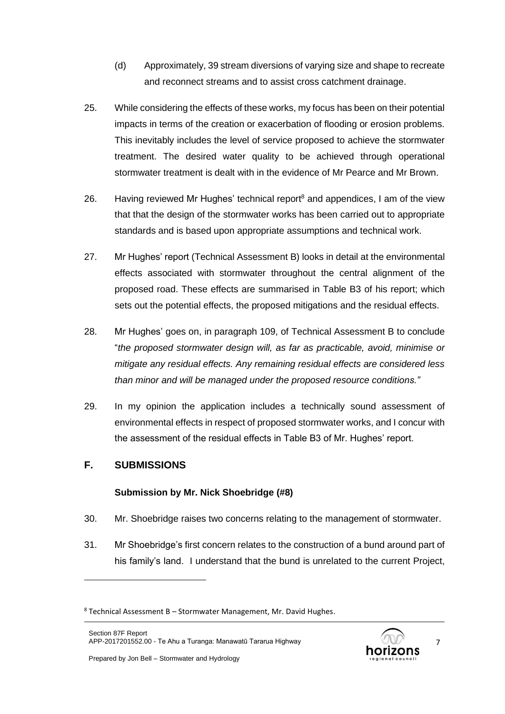- (d) Approximately, 39 stream diversions of varying size and shape to recreate and reconnect streams and to assist cross catchment drainage.
- 25. While considering the effects of these works, my focus has been on their potential impacts in terms of the creation or exacerbation of flooding or erosion problems. This inevitably includes the level of service proposed to achieve the stormwater treatment. The desired water quality to be achieved through operational stormwater treatment is dealt with in the evidence of Mr Pearce and Mr Brown.
- 26. Having reviewed Mr Hughes' technical report<sup>8</sup> and appendices, I am of the view that that the design of the stormwater works has been carried out to appropriate standards and is based upon appropriate assumptions and technical work.
- 27. Mr Hughes' report (Technical Assessment B) looks in detail at the environmental effects associated with stormwater throughout the central alignment of the proposed road. These effects are summarised in Table B3 of his report; which sets out the potential effects, the proposed mitigations and the residual effects.
- 28. Mr Hughes' goes on, in paragraph 109, of Technical Assessment B to conclude "*the proposed stormwater design will, as far as practicable, avoid, minimise or mitigate any residual effects. Any remaining residual effects are considered less than minor and will be managed under the proposed resource conditions."*
- 29. In my opinion the application includes a technically sound assessment of environmental effects in respect of proposed stormwater works, and I concur with the assessment of the residual effects in Table B3 of Mr. Hughes' report.

# **F. SUBMISSIONS**

## **Submission by Mr. Nick Shoebridge (#8)**

- 30. Mr. Shoebridge raises two concerns relating to the management of stormwater.
- 31. Mr Shoebridge's first concern relates to the construction of a bund around part of his family's land. I understand that the bund is unrelated to the current Project,

 $8$  Technical Assessment B – Stormwater Management, Mr. David Hughes.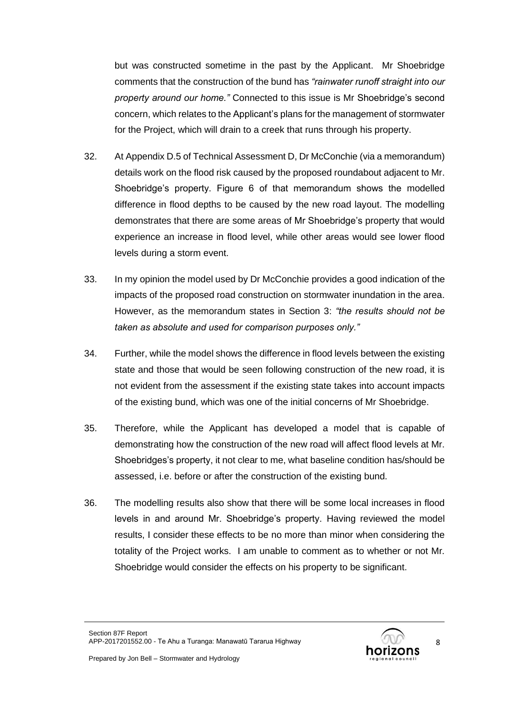but was constructed sometime in the past by the Applicant. Mr Shoebridge comments that the construction of the bund has *"rainwater runoff straight into our property around our home."* Connected to this issue is Mr Shoebridge's second concern, which relates to the Applicant's plans for the management of stormwater for the Project, which will drain to a creek that runs through his property.

- 32. At Appendix D.5 of Technical Assessment D, Dr McConchie (via a memorandum) details work on the flood risk caused by the proposed roundabout adjacent to Mr. Shoebridge's property. Figure 6 of that memorandum shows the modelled difference in flood depths to be caused by the new road layout. The modelling demonstrates that there are some areas of Mr Shoebridge's property that would experience an increase in flood level, while other areas would see lower flood levels during a storm event.
- 33. In my opinion the model used by Dr McConchie provides a good indication of the impacts of the proposed road construction on stormwater inundation in the area. However, as the memorandum states in Section 3: *"the results should not be taken as absolute and used for comparison purposes only."*
- 34. Further, while the model shows the difference in flood levels between the existing state and those that would be seen following construction of the new road, it is not evident from the assessment if the existing state takes into account impacts of the existing bund, which was one of the initial concerns of Mr Shoebridge.
- 35. Therefore, while the Applicant has developed a model that is capable of demonstrating how the construction of the new road will affect flood levels at Mr. Shoebridges's property, it not clear to me, what baseline condition has/should be assessed, i.e. before or after the construction of the existing bund.
- 36. The modelling results also show that there will be some local increases in flood levels in and around Mr. Shoebridge's property. Having reviewed the model results, I consider these effects to be no more than minor when considering the totality of the Project works. I am unable to comment as to whether or not Mr. Shoebridge would consider the effects on his property to be significant.

Section 87F Report APP-2017201552.00 - Te Ahu a Turanga: Manawatū Tararua Highway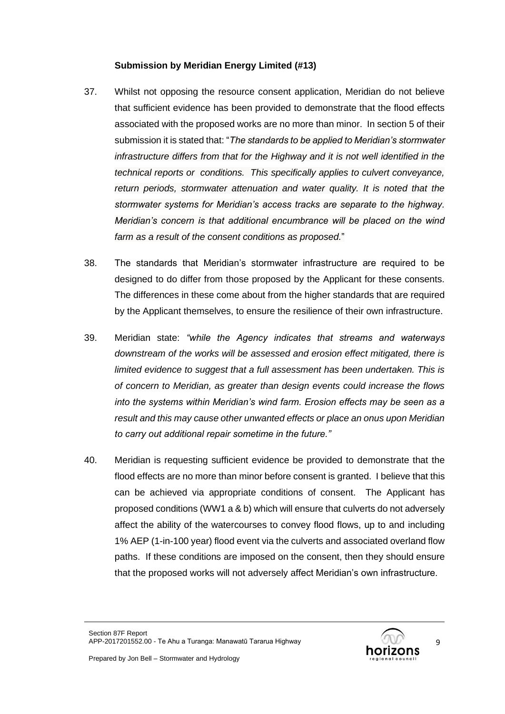## **Submission by Meridian Energy Limited (#13)**

- 37. Whilst not opposing the resource consent application, Meridian do not believe that sufficient evidence has been provided to demonstrate that the flood effects associated with the proposed works are no more than minor. In section 5 of their submission it is stated that: "*The standards to be applied to Meridian's stormwater infrastructure differs from that for the Highway and it is not well identified in the technical reports or conditions. This specifically applies to culvert conveyance, return periods, stormwater attenuation and water quality. It is noted that the stormwater systems for Meridian's access tracks are separate to the highway. Meridian's concern is that additional encumbrance will be placed on the wind farm as a result of the consent conditions as proposed.*"
- 38. The standards that Meridian's stormwater infrastructure are required to be designed to do differ from those proposed by the Applicant for these consents. The differences in these come about from the higher standards that are required by the Applicant themselves, to ensure the resilience of their own infrastructure.
- 39. Meridian state: *"while the Agency indicates that streams and waterways downstream of the works will be assessed and erosion effect mitigated, there is limited evidence to suggest that a full assessment has been undertaken. This is of concern to Meridian, as greater than design events could increase the flows into the systems within Meridian's wind farm. Erosion effects may be seen as a result and this may cause other unwanted effects or place an onus upon Meridian to carry out additional repair sometime in the future."*
- 40. Meridian is requesting sufficient evidence be provided to demonstrate that the flood effects are no more than minor before consent is granted. I believe that this can be achieved via appropriate conditions of consent. The Applicant has proposed conditions (WW1 a & b) which will ensure that culverts do not adversely affect the ability of the watercourses to convey flood flows, up to and including 1% AEP (1-in-100 year) flood event via the culverts and associated overland flow paths. If these conditions are imposed on the consent, then they should ensure that the proposed works will not adversely affect Meridian's own infrastructure.

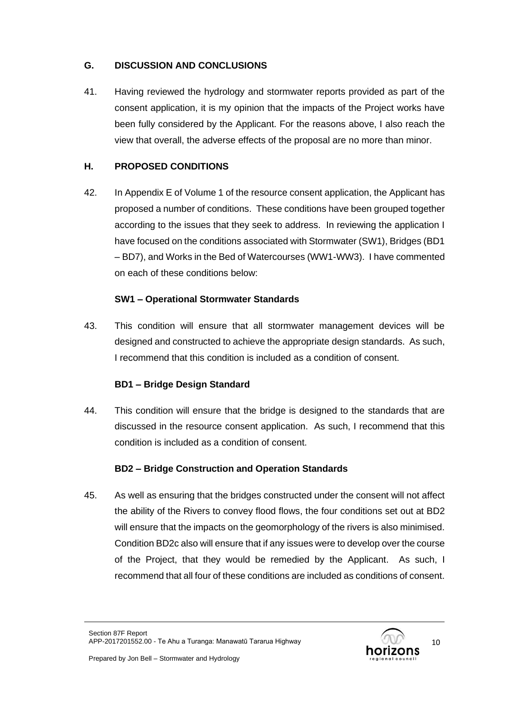## **G. DISCUSSION AND CONCLUSIONS**

41. Having reviewed the hydrology and stormwater reports provided as part of the consent application, it is my opinion that the impacts of the Project works have been fully considered by the Applicant. For the reasons above, I also reach the view that overall, the adverse effects of the proposal are no more than minor.

## **H. PROPOSED CONDITIONS**

42. In Appendix E of Volume 1 of the resource consent application, the Applicant has proposed a number of conditions. These conditions have been grouped together according to the issues that they seek to address. In reviewing the application I have focused on the conditions associated with Stormwater (SW1), Bridges (BD1 – BD7), and Works in the Bed of Watercourses (WW1-WW3). I have commented on each of these conditions below:

## **SW1 – Operational Stormwater Standards**

43. This condition will ensure that all stormwater management devices will be designed and constructed to achieve the appropriate design standards. As such, I recommend that this condition is included as a condition of consent.

## **BD1 – Bridge Design Standard**

44. This condition will ensure that the bridge is designed to the standards that are discussed in the resource consent application. As such, I recommend that this condition is included as a condition of consent.

## **BD2 – Bridge Construction and Operation Standards**

45. As well as ensuring that the bridges constructed under the consent will not affect the ability of the Rivers to convey flood flows, the four conditions set out at BD2 will ensure that the impacts on the geomorphology of the rivers is also minimised. Condition BD2c also will ensure that if any issues were to develop over the course of the Project, that they would be remedied by the Applicant. As such, I recommend that all four of these conditions are included as conditions of consent.

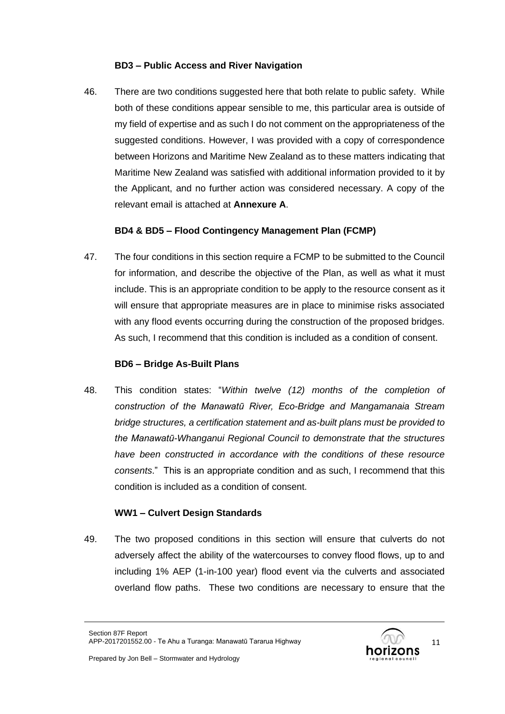## **BD3 – Public Access and River Navigation**

46. There are two conditions suggested here that both relate to public safety. While both of these conditions appear sensible to me, this particular area is outside of my field of expertise and as such I do not comment on the appropriateness of the suggested conditions. However, I was provided with a copy of correspondence between Horizons and Maritime New Zealand as to these matters indicating that Maritime New Zealand was satisfied with additional information provided to it by the Applicant, and no further action was considered necessary. A copy of the relevant email is attached at **Annexure A**.

# **BD4 & BD5 – Flood Contingency Management Plan (FCMP)**

47. The four conditions in this section require a FCMP to be submitted to the Council for information, and describe the objective of the Plan, as well as what it must include. This is an appropriate condition to be apply to the resource consent as it will ensure that appropriate measures are in place to minimise risks associated with any flood events occurring during the construction of the proposed bridges. As such, I recommend that this condition is included as a condition of consent.

## **BD6 – Bridge As-Built Plans**

48. This condition states: "*Within twelve (12) months of the completion of construction of the Manawatū River, Eco-Bridge and Mangamanaia Stream bridge structures, a certification statement and as-built plans must be provided to the Manawatū-Whanganui Regional Council to demonstrate that the structures have been constructed in accordance with the conditions of these resource consents*." This is an appropriate condition and as such, I recommend that this condition is included as a condition of consent.

## **WW1 – Culvert Design Standards**

49. The two proposed conditions in this section will ensure that culverts do not adversely affect the ability of the watercourses to convey flood flows, up to and including 1% AEP (1-in-100 year) flood event via the culverts and associated overland flow paths. These two conditions are necessary to ensure that the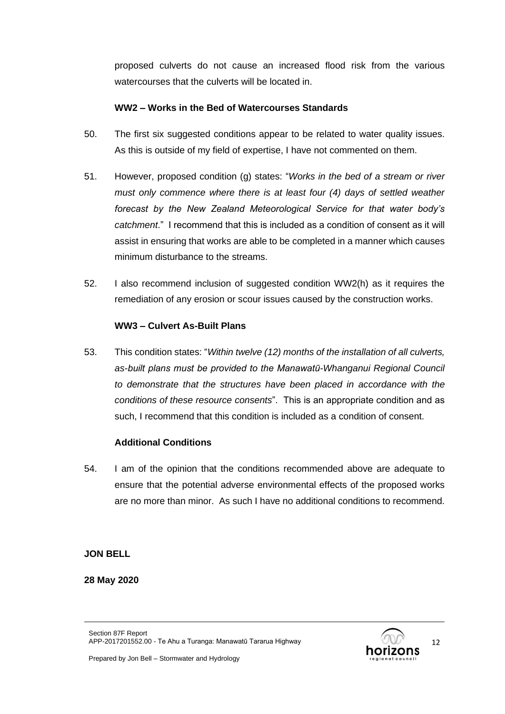proposed culverts do not cause an increased flood risk from the various watercourses that the culverts will be located in.

## **WW2 – Works in the Bed of Watercourses Standards**

- 50. The first six suggested conditions appear to be related to water quality issues. As this is outside of my field of expertise, I have not commented on them.
- 51. However, proposed condition (g) states: "*Works in the bed of a stream or river must only commence where there is at least four (4) days of settled weather forecast by the New Zealand Meteorological Service for that water body's catchment*." I recommend that this is included as a condition of consent as it will assist in ensuring that works are able to be completed in a manner which causes minimum disturbance to the streams.
- 52. I also recommend inclusion of suggested condition WW2(h) as it requires the remediation of any erosion or scour issues caused by the construction works.

## **WW3 – Culvert As-Built Plans**

53. This condition states: "*Within twelve (12) months of the installation of all culverts, as-built plans must be provided to the Manawatū-Whanganui Regional Council to demonstrate that the structures have been placed in accordance with the conditions of these resource consents*". This is an appropriate condition and as such, I recommend that this condition is included as a condition of consent.

## **Additional Conditions**

54. I am of the opinion that the conditions recommended above are adequate to ensure that the potential adverse environmental effects of the proposed works are no more than minor. As such I have no additional conditions to recommend.

## **JON BELL**

#### **28 May 2020**

Section 87F Report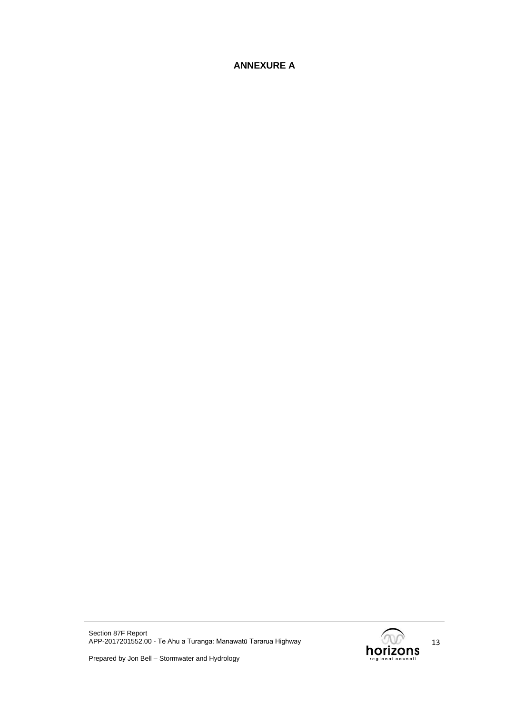## **ANNEXURE A**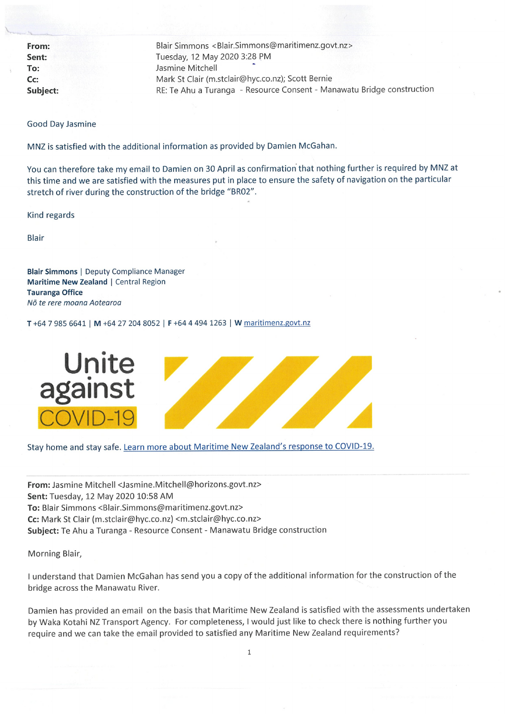From: Sent: To: Cc: **Subiect:**  Blair Simmons <Blair.Simmons@maritimenz.govt.nz> Tuesday, 12 May 2020 3:28 PM Jasmine Mitchell Mark St Clair (m.stclair@hyc.co.nz); Scott Bernie RE: Te Ahu a Turanga - Resource Consent - Manawatu Bridge construction

**Good Day Jasmine** 

MNZ is satisfied with the additional information as provided by Damien McGahan.

You can therefore take my email to Damien on 30 April as confirmation that nothing further is required by MNZ at this time and we are satisfied with the measures put in place to ensure the safety of navigation on the particular stretch of river during the construction of the bridge "BR02".

Kind regards

**Blair** 

**Blair Simmons | Deputy Compliance Manager** Maritime New Zealand | Central Region **Tauranga Office** Nō te rere moana Aotearoa

T+64 7 985 6641 | M +64 27 204 8052 | F +64 4 494 1263 | W maritimenz.govt.nz



Stay home and stay safe. Learn more about Maritime New Zealand's response to COVID-19.

From: Jasmine Mitchell <Jasmine.Mitchell@horizons.govt.nz> Sent: Tuesday, 12 May 2020 10:58 AM To: Blair Simmons <Blair.Simmons@maritimenz.govt.nz> Cc: Mark St Clair (m.stclair@hyc.co.nz) <m.stclair@hyc.co.nz> Subject: Te Ahu a Turanga - Resource Consent - Manawatu Bridge construction

Morning Blair,

I understand that Damien McGahan has send you a copy of the additional information for the construction of the bridge across the Manawatu River.

Damien has provided an email on the basis that Maritime New Zealand is satisfied with the assessments undertaken by Waka Kotahi NZ Transport Agency. For completeness, I would just like to check there is nothing further you require and we can take the email provided to satisfied any Maritime New Zealand requirements?